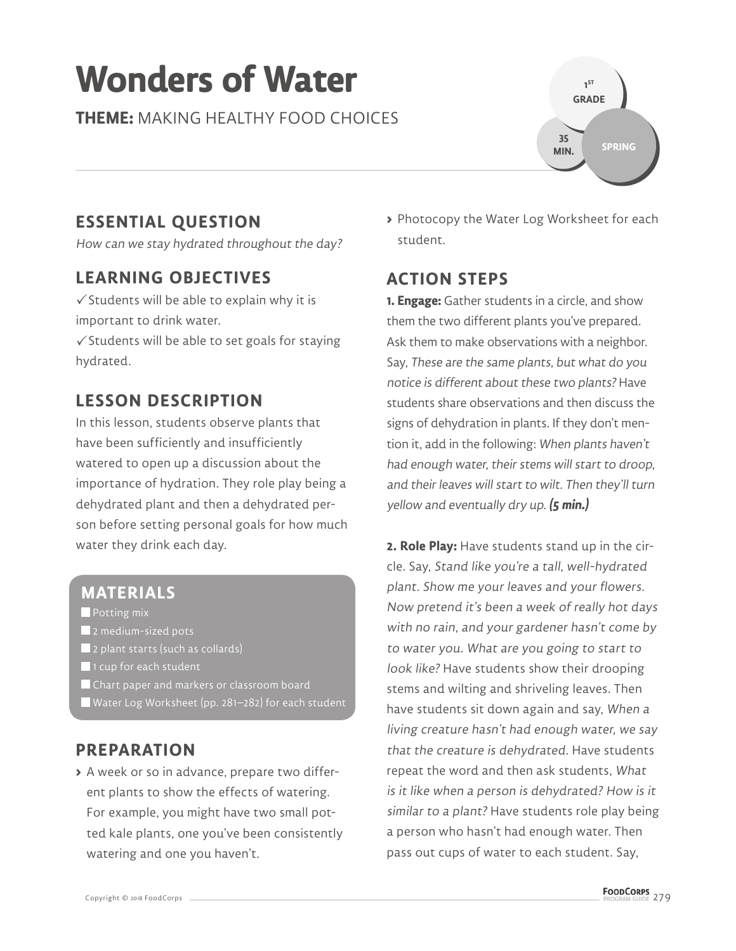# **Wonders of Water**

**THEME:** MAKING HEALTHY FOOD CHOICES



# **ESSENTIAL QUESTION**

How can we stay hydrated throughout the day?

### **LEARNING OBJECTIVES**

 $\checkmark$  Students will be able to explain why it is important to drink water.

 $\checkmark$  Students will be able to set goals for staying hydrated.

# **LESSON DESCRIPTION**

In this lesson, students observe plants that have been sufficiently and insufficiently watered to open up a discussion about the importance of hydration. They role play being a dehydrated plant and then a dehydrated person before setting personal goals for how much water they drink each day.

#### **MATERIALS**

**Potting mix** 

- 2 medium-sized pots
- 2 plant starts (such as collards)
- **1** 1 cup for each student
- Chart paper and markers or classroom board
- Water Log Worksheet (pp. 281–282) for each student

#### **PREPARATION**

**>** A week or so in advance, prepare two different plants to show the effects of watering. For example, you might have two small potted kale plants, one you've been consistently watering and one you haven't.

**>** Photocopy the Water Log Worksheet for each student.

# **ACTION STEPS**

**1. Engage:** Gather students in a circle, and show them the two different plants you've prepared. Ask them to make observations with a neighbor. Say, These are the same plants, but what do you notice is different about these two plants? Have students share observations and then discuss the signs of dehydration in plants. If they don't mention it, add in the following: When plants haven't had enough water, their stems will start to droop, and their leaves will start to wilt. Then they'll turn yellow and eventually dry up. **(5 min.)**

**2. Role Play:** Have students stand up in the circle. Say, Stand like you're a tall, well-hydrated plant. Show me your leaves and your flowers. Now pretend it's been a week of really hot days with no rain, and your gardener hasn't come by to water you. What are you going to start to look like? Have students show their drooping stems and wilting and shriveling leaves. Then have students sit down again and say, When a living creature hasn't had enough water, we say that the creature is dehydrated. Have students repeat the word and then ask students, What is it like when a person is dehydrated? How is it similar to a plant? Have students role play being a person who hasn't had enough water. Then pass out cups of water to each student. Say,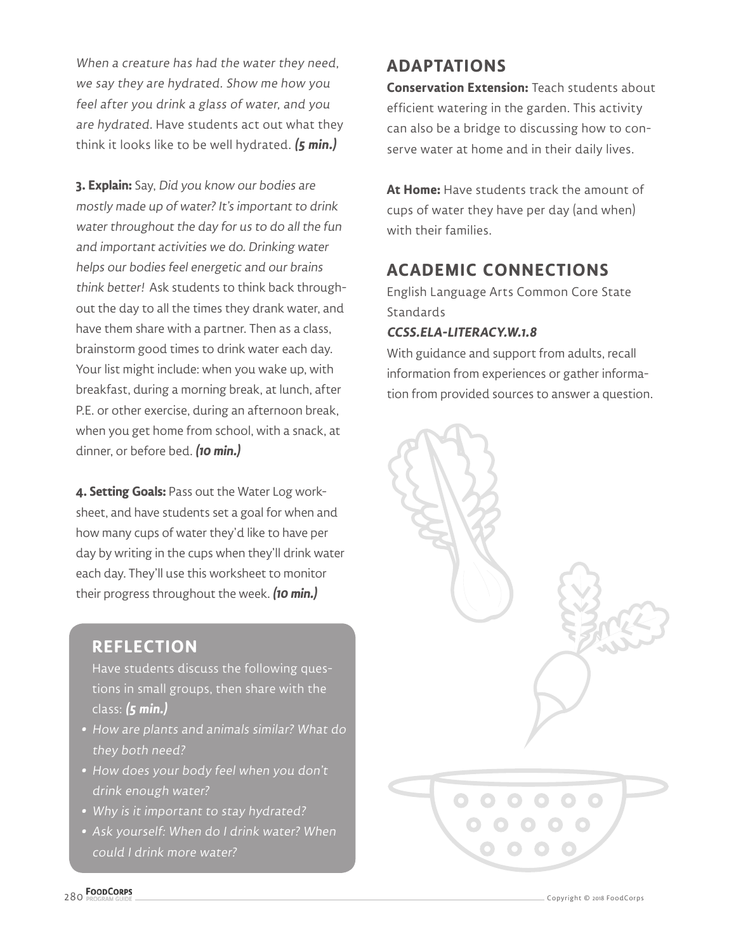When a creature has had the water they need, we say they are hydrated. Show me how you feel after you drink a glass of water, and you are hydrated. Have students act out what they think it looks like to be well hydrated. **(5 min.)**

**3. Explain:** Say, Did you know our bodies are mostly made up of water? It's important to drink water throughout the day for us to do all the fun and important activities we do. Drinking water helps our bodies feel energetic and our brains think better! Ask students to think back throughout the day to all the times they drank water, and have them share with a partner. Then as a class, brainstorm good times to drink water each day. Your list might include: when you wake up, with breakfast, during a morning break, at lunch, after P.E. or other exercise, during an afternoon break, when you get home from school, with a snack, at dinner, or before bed. **(10 min.)**

**4. Setting Goals:** Pass out the Water Log worksheet, and have students set a goal for when and how many cups of water they'd like to have per day by writing in the cups when they'll drink water each day. They'll use this worksheet to monitor their progress throughout the week. **(10 min.)**

#### **REFLECTION**

Have students discuss the following questions in small groups, then share with the class: **(5 min.)**

- **•** How are plants and animals similar? What do they both need?
- **•** How does your body feel when you don't drink enough water?
- **•** Why is it important to stay hydrated?
- **•** Ask yourself: When do I drink water? When could I drink more water?

# **ADAPTATIONS**

**Conservation Extension:** Teach students about efficient watering in the garden. This activity can also be a bridge to discussing how to conserve water at home and in their daily lives.

**At Home:** Have students track the amount of cups of water they have per day (and when) with their families.

# **ACADEMIC CONNECTIONS**

English Language Arts Common Core State Standards

#### **CCSS.ELA-LITERACY.W.1.8**

With guidance and support from adults, recall information from experiences or gather information from provided sources to answer a question.



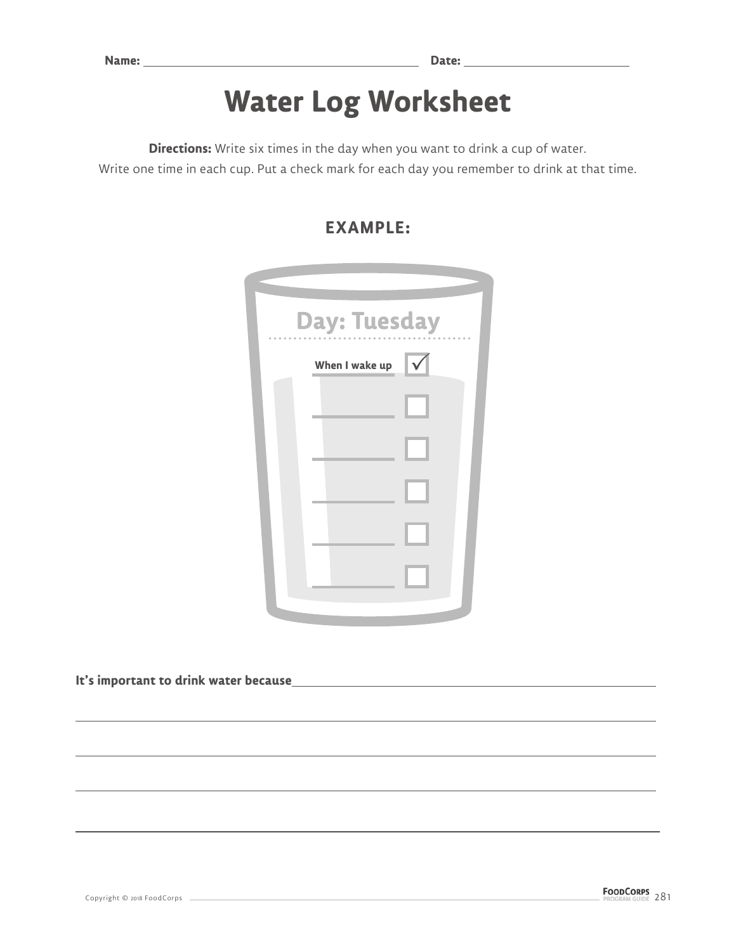# **Water Log Worksheet**

**Directions:** Write six times in the day when you want to drink a cup of water.

Write one time in each cup. Put a check mark for each day you remember to drink at that time.

| <b>Day: Tuesday</b> |                   |  |
|---------------------|-------------------|--|
| When I wake up      | $\overline{\vee}$ |  |
|                     |                   |  |
|                     |                   |  |
|                     |                   |  |
|                     |                   |  |
|                     |                   |  |
|                     |                   |  |

#### **EXAMPLE:**

**It's important to drink water because**